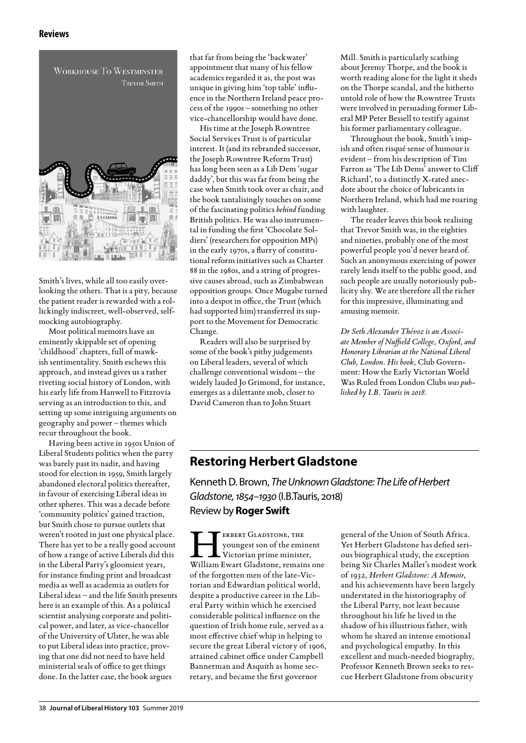

Smith's lives, while all too easily overlooking the others. That is a pity, because the patient reader is rewarded with a rollickingly indiscreet, well-observed, selfmocking autobiography.

Most political memoirs have an eminently skippable set of opening 'childhood' chapters, full of mawkish sentimentality. Smith eschews this approach, and instead gives us a rather riveting social history of London, with his early life from Hanwell to Fitzrovia serving as an introduction to this, and setting up some intriguing arguments on geography and power – themes which recur throughout the book.

Having been active in 1950s Union of Liberal Students politics when the party was barely past its nadir, and having stood for election in 1959, Smith largely abandoned electoral politics thereafter, in favour of exercising Liberal ideas in other spheres. This was a decade before 'community politics' gained traction, but Smith chose to pursue outlets that weren't rooted in just one physical place. There has yet to be a really good account of how a range of active Liberals did this in the Liberal Party's gloomiest years, for instance finding print and broadcast media as well as academia as outlets for Liberal ideas – and the life Smith presents here is an example of this. As a political scientist analysing corporate and political power, and later, as vice-chancellor of the University of Ulster, he was able to put Liberal ideas into practice, proving that one did not need to have held ministerial seals of office to get things done. In the latter case, the book argues

that far from being the 'backwater' appointment that many of his fellow academics regarded it as, the post was unique in giving him 'top table' influence in the Northern Ireland peace process of the 1990s – something no other vice-chancellorship would have done.

His time at the Joseph Rowntree Social Services Trust is of particular interest. It (and its rebranded successor, the Joseph Rowntree Reform Trust) has long been seen as a Lib Dem 'sugar daddy', but this was far from being the case when Smith took over as chair, and the book tantalisingly touches on some of the fascinating politics *behind* funding British politics. He was also instrumental in funding the first 'Chocolate Soldiers' (researchers for opposition MPs) in the early 1970s, a flurry of constitutional reform initiatives such as Charter 88 in the 1980s, and a string of progressive causes abroad, such as Zimbabwean opposition groups. Once Mugabe turned into a despot in office, the Trust (which had supported him) transferred its support to the Movement for Democratic Change.

Readers will also be surprised by some of the book's pithy judgements on Liberal leaders, several of which challenge conventional wisdom – the widely lauded Jo Grimond, for instance, emerges as a dilettante snob, closer to David Cameron than to John Stuart

Mill. Smith is particularly scathing about Jeremy Thorpe, and the book is worth reading alone for the light it sheds on the Thorpe scandal, and the hitherto untold role of how the Rowntree Trusts were involved in persuading former Liberal MP Peter Bessell to testify against his former parliamentary colleague.

Throughout the book, Smith's impish and often risqué sense of humour is evident – from his description of Tim Farron as 'The Lib Dems' answer to Cliff Richard', to a distinctly X-rated anecdote about the choice of lubricants in Northern Ireland, which had me roaring with laughter.

The reader leaves this book realising that Trevor Smith was, in the eighties and nineties, probably one of the most powerful people you'd never heard of. Such an anonymous exercising of power rarely lends itself to the public good, and such people are usually notoriously publicity shy. We are therefore all the richer for this impressive, illuminating and amusing memoir.

*Dr Seth Alexander Thévoz is an Associate Member of Nuffield College, Oxford, and Honorary Librarian at the National Liberal Club, London. His book,* Club Government: How the Early Victorian World Was Ruled from London Clubs *was published by I.B. Tauris in 2018.* 

## **Restoring Herbert Gladstone**

Kenneth D. Brown, *The Unknown Gladstone: The Life of Herbert Gladstone, 1854–1930* (I.B.Tauris, 2018) Review by **Roger Swift**

ERBERT GLADSTONE, THE<br>
youngest son of the eminent<br>
Victorian prime minister,<br>
William Ewart Gladstone, remains one youngest son of the eminent Victorian prime minister, of the forgotten men of the late-Victorian and Edwardian political world, despite a productive career in the Liberal Party within which he exercised considerable political influence on the question of Irish home rule, served as a most effective chief whip in helping to secure the great Liberal victory of 1906, attained cabinet office under Campbell Bannerman and Asquith as home secretary, and became the first governor

general of the Union of South Africa. Yet Herbert Gladstone has defied serious biographical study, the exception being Sir Charles Mallet's modest work of 1932, *Herbert Gladstone: A Memoir*, and his achievements have been largely understated in the historiography of the Liberal Party, not least because throughout his life he lived in the shadow of his illustrious father, with whom he shared an intense emotional and psychological empathy. In this excellent and much-needed biography, Professor Kenneth Brown seeks to rescue Herbert Gladstone from obscurity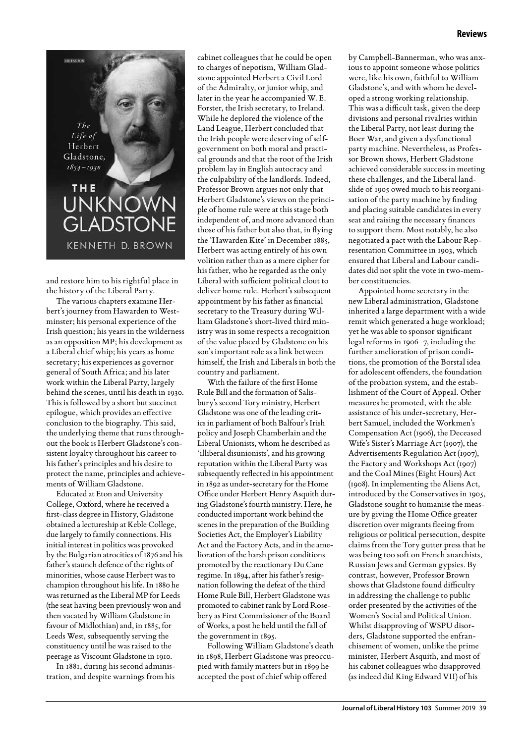## **Reviews**

 $The$ Life of Herbert Gladstone,  $1854 - 1930$ THE UNKNO GLADS **KENNETH D. BROWN** 

LETAURIS

and restore him to his rightful place in the history of the Liberal Party.

The various chapters examine Herbert's journey from Hawarden to Westminster; his personal experience of the Irish question; his years in the wilderness as an opposition MP; his development as a Liberal chief whip; his years as home secretary; his experiences as governor general of South Africa; and his later work within the Liberal Party, largely behind the scenes, until his death in 1930. This is followed by a short but succinct epilogue, which provides an effective conclusion to the biography. This said, the underlying theme that runs throughout the book is Herbert Gladstone's consistent loyalty throughout his career to his father's principles and his desire to protect the name, principles and achievements of William Gladstone.

Educated at Eton and University College, Oxford, where he received a first-class degree in History, Gladstone obtained a lectureship at Keble College, due largely to family connections. His initial interest in politics was provoked by the Bulgarian atrocities of 1876 and his father's staunch defence of the rights of minorities, whose cause Herbert was to champion throughout his life. In 1880 he was returned as the Liberal MP for Leeds (the seat having been previously won and then vacated by William Gladstone in favour of Midlothian) and, in 1885, for Leeds West, subsequently serving the constituency until he was raised to the peerage as Viscount Gladstone in 1910.

In 1881, during his second administration, and despite warnings from his cabinet colleagues that he could be open to charges of nepotism, William Gladstone appointed Herbert a Civil Lord of the Admiralty, or junior whip, and later in the year he accompanied W. E. Forster, the Irish secretary, to Ireland. While he deplored the violence of the Land League, Herbert concluded that the Irish people were deserving of selfgovernment on both moral and practical grounds and that the root of the Irish problem lay in English autocracy and the culpability of the landlords. Indeed, Professor Brown argues not only that Herbert Gladstone's views on the principle of home rule were at this stage both independent of, and more advanced than those of his father but also that, in flying the 'Hawarden Kite' in December 1885, Herbert was acting entirely of his own volition rather than as a mere cipher for his father, who he regarded as the only Liberal with sufficient political clout to deliver home rule. Herbert's subsequent appointment by his father as financial secretary to the Treasury during William Gladstone's short-lived third ministry was in some respects a recognition of the value placed by Gladstone on his son's important role as a link between himself, the Irish and Liberals in both the country and parliament.

With the failure of the first Home Rule Bill and the formation of Salisbury's second Tory ministry, Herbert Gladstone was one of the leading critics in parliament of both Balfour's Irish policy and Joseph Chamberlain and the Liberal Unionists, whom he described as 'illiberal disunionists', and his growing reputation within the Liberal Party was subsequently reflected in his appointment in 1892 as under-secretary for the Home Office under Herbert Henry Asquith during Gladstone's fourth ministry. Here, he conducted important work behind the scenes in the preparation of the Building Societies Act, the Employer's Liability Act and the Factory Acts, and in the amelioration of the harsh prison conditions promoted by the reactionary Du Cane regime. In 1894, after his father's resignation following the defeat of the third Home Rule Bill, Herbert Gladstone was promoted to cabinet rank by Lord Rosebery as First Commissioner of the Board of Works, a post he held until the fall of the government in 1895.

Following William Gladstone's death in 1898, Herbert Gladstone was preoccupied with family matters but in 1899 he accepted the post of chief whip offered

by Campbell-Bannerman, who was anxious to appoint someone whose politics were, like his own, faithful to William Gladstone's, and with whom he developed a strong working relationship. This was a difficult task, given the deep divisions and personal rivalries within the Liberal Party, not least during the Boer War, and given a dysfunctional party machine. Nevertheless, as Professor Brown shows, Herbert Gladstone achieved considerable success in meeting these challenges, and the Liberal landslide of 1905 owed much to his reorganisation of the party machine by finding and placing suitable candidates in every seat and raising the necessary finances to support them. Most notably, he also negotiated a pact with the Labour Representation Committee in 1903, which ensured that Liberal and Labour candidates did not split the vote in two-member constituencies.

Appointed home secretary in the new Liberal administration, Gladstone inherited a large department with a wide remit which generated a huge workload; yet he was able to sponsor significant legal reforms in 1906–7, including the further amelioration of prison conditions, the promotion of the Borstal idea for adolescent offenders, the foundation of the probation system, and the establishment of the Court of Appeal. Other measures he promoted, with the able assistance of his under-secretary, Herbert Samuel, included the Workmen's Compensation Act (1906), the Deceased Wife's Sister's Marriage Act (1907), the Advertisements Regulation Act (1907), the Factory and Workshops Act (1907) and the Coal Mines (Eight Hours) Act (1908). In implementing the Aliens Act, introduced by the Conservatives in 1905, Gladstone sought to humanise the measure by giving the Home Office greater discretion over migrants fleeing from religious or political persecution, despite claims from the Tory gutter press that he was being too soft on French anarchists, Russian Jews and German gypsies. By contrast, however, Professor Brown shows that Gladstone found difficulty in addressing the challenge to public order presented by the activities of the Women's Social and Political Union. Whilst disapproving of WSPU disorders, Gladstone supported the enfranchisement of women, unlike the prime minister, Herbert Asquith, and most of his cabinet colleagues who disapproved (as indeed did King Edward VII) of his